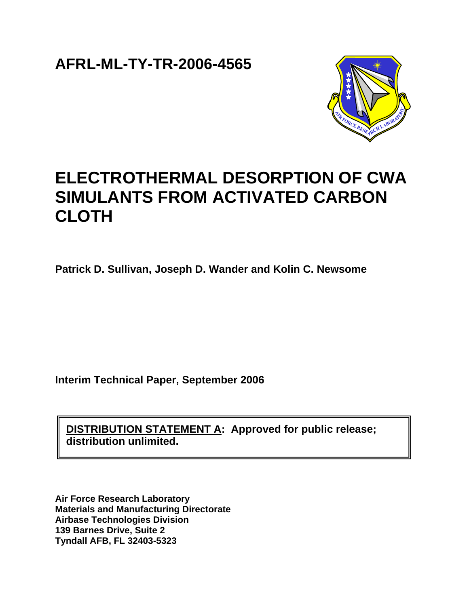**AFRL-ML-TY-TR-2006-4565**



# **ELECTROTHERMAL DESORPTION OF CWA SIMULANTS FROM ACTIVATED CARBON CLOTH**

**Patrick D. Sullivan, Joseph D. Wander and Kolin C. Newsome** 

**Interim Technical Paper, September 2006** 

**DISTRIBUTION STATEMENT A: Approved for public release; distribution unlimited.** 

**Air Force Research Laboratory Materials and Manufacturing Directorate Airbase Technologies Division 139 Barnes Drive, Suite 2 Tyndall AFB, FL 32403-5323**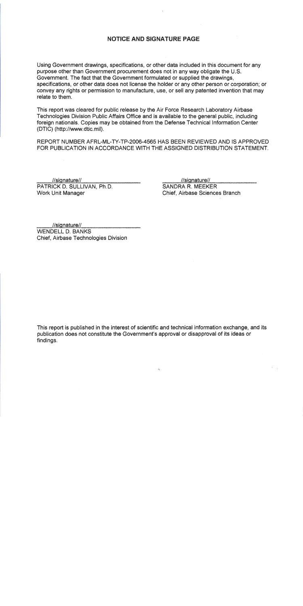## **NOTICE AND SIGNATURE PAGE**

Using Government drawings, specifications, or other data included in this document for any purpose other than Government procurement does not in any way obligate the U.S. Government. The fact that the Government formulated or supplied the drawings. specifications, or other data does not license the holder or any other person or corporation; or convey any rights or permission to manufacture, use, or sell any patented invention that may relate to them.

This report was cleared for public release by the Air Force Research Laboratory Airbase Technologies Division Public Affairs Office and is available to the general public, including foreign nationals. Copies may be obtained from the Defense Technical Information Center (DTIC) (http://www.dtic.mil).

REPORT NUMBER AFRL-ML-TY-TP-2006-4565 HAS BEEN REVIEWED AND IS APPROVED FOR PUBLICATION IN ACCORDANCE WITH THE ASSIGNED DISTRIBUTION STATEMENT.

//signature// PATRICK D. SULLIVAN, Ph.D. Work Unit Manager

//signature//

**SANDRA R. MEEKER** Chief. Airbase Sciences Branch

//signature// **WENDELL D. BANKS** Chief, Airbase Technologies Division

This report is published in the interest of scientific and technical information exchange, and its publication does not constitute the Government's approval or disapproval of its ideas or findings.

 $\Delta_{\rm g}$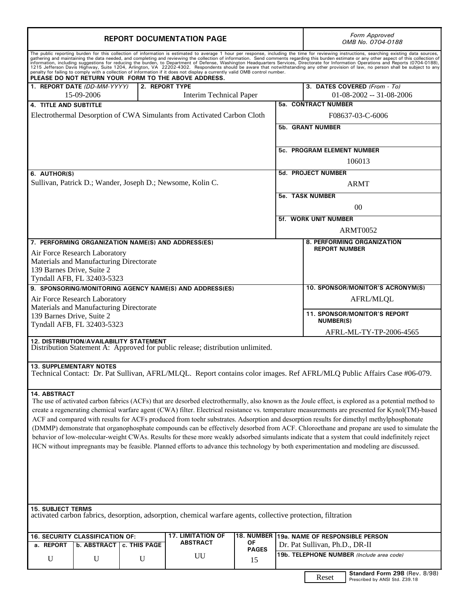| <b>REPORT DOCUMENTATION PAGE</b>                                                                                                                                                                                                                                                                                                                                                                                                                                                                                                                                                                                                                                                                                                                                                                                                                                                                                                                                     |              |                                             |                    |                                                                   |                                                    | <b>Form Approved</b><br>OMB No. 0704-0188                       |  |  |
|----------------------------------------------------------------------------------------------------------------------------------------------------------------------------------------------------------------------------------------------------------------------------------------------------------------------------------------------------------------------------------------------------------------------------------------------------------------------------------------------------------------------------------------------------------------------------------------------------------------------------------------------------------------------------------------------------------------------------------------------------------------------------------------------------------------------------------------------------------------------------------------------------------------------------------------------------------------------|--------------|---------------------------------------------|--------------------|-------------------------------------------------------------------|----------------------------------------------------|-----------------------------------------------------------------|--|--|
| The public reporting burden for this collection of information is estimated to average 1 hour per response, including the time for reviewing instructions, searching existing data sources,<br>gathering and maintaining the data needed, and completing and reviewing the collection of information. Send comments regarding this burden estimate or any other aspect of this collection of<br>information, including suggestions for reducing the burden, to Department of Defense, Washington Headquarters Services, Directorate for Information Operations and Reports (0704-0188),<br>1215 Jefferson Davis Highway, Suite 1204, Arlington, VA 22202-4302. Respondents should be aware that notwithstanding any other provision of law, no person shall be subject to any<br>penalty for failing to comply with a collection of information if it does not display a currently valid OMB control number.<br>PLEASE DO NOT RETURN YOUR FORM TO THE ABOVE ADDRESS. |              |                                             |                    |                                                                   |                                                    |                                                                 |  |  |
| 1. REPORT DATE (DD-MM-YYYY)<br>15-09-2006                                                                                                                                                                                                                                                                                                                                                                                                                                                                                                                                                                                                                                                                                                                                                                                                                                                                                                                            |              | 2. REPORT TYPE<br>Interim Technical Paper   |                    |                                                                   |                                                    | 3. DATES COVERED (From - To)<br>$01-08-2002 - 31-08-2006$       |  |  |
| <b>4. TITLE AND SUBTITLE</b><br>Electrothermal Desorption of CWA Simulants from Activated Carbon Cloth                                                                                                                                                                                                                                                                                                                                                                                                                                                                                                                                                                                                                                                                                                                                                                                                                                                               |              |                                             |                    |                                                                   | <b>5a. CONTRACT NUMBER</b><br>F08637-03-C-6006     |                                                                 |  |  |
|                                                                                                                                                                                                                                                                                                                                                                                                                                                                                                                                                                                                                                                                                                                                                                                                                                                                                                                                                                      |              |                                             |                    | <b>5b. GRANT NUMBER</b>                                           |                                                    |                                                                 |  |  |
|                                                                                                                                                                                                                                                                                                                                                                                                                                                                                                                                                                                                                                                                                                                                                                                                                                                                                                                                                                      |              |                                             |                    |                                                                   | 5c. PROGRAM ELEMENT NUMBER<br>106013               |                                                                 |  |  |
| 6. AUTHOR(S)<br>Sullivan, Patrick D.; Wander, Joseph D.; Newsome, Kolin C.                                                                                                                                                                                                                                                                                                                                                                                                                                                                                                                                                                                                                                                                                                                                                                                                                                                                                           |              |                                             |                    |                                                                   | 5d. PROJECT NUMBER<br><b>ARMT</b>                  |                                                                 |  |  |
|                                                                                                                                                                                                                                                                                                                                                                                                                                                                                                                                                                                                                                                                                                                                                                                                                                                                                                                                                                      |              |                                             |                    |                                                                   | <b>5e. TASK NUMBER</b><br>00                       |                                                                 |  |  |
|                                                                                                                                                                                                                                                                                                                                                                                                                                                                                                                                                                                                                                                                                                                                                                                                                                                                                                                                                                      |              |                                             |                    |                                                                   | <b>5f. WORK UNIT NUMBER</b><br><b>ARMT0052</b>     |                                                                 |  |  |
| 7. PERFORMING ORGANIZATION NAME(S) AND ADDRESS(ES)<br>Air Force Research Laboratory<br>Materials and Manufacturing Directorate<br>139 Barnes Drive, Suite 2                                                                                                                                                                                                                                                                                                                                                                                                                                                                                                                                                                                                                                                                                                                                                                                                          |              |                                             |                    |                                                                   | 8. PERFORMING ORGANIZATION<br><b>REPORT NUMBER</b> |                                                                 |  |  |
| Tyndall AFB, FL 32403-5323<br>9. SPONSORING/MONITORING AGENCY NAME(S) AND ADDRESS(ES)                                                                                                                                                                                                                                                                                                                                                                                                                                                                                                                                                                                                                                                                                                                                                                                                                                                                                |              |                                             |                    |                                                                   | 10. SPONSOR/MONITOR'S ACRONYM(S)                   |                                                                 |  |  |
| Air Force Research Laboratory<br>Materials and Manufacturing Directorate                                                                                                                                                                                                                                                                                                                                                                                                                                                                                                                                                                                                                                                                                                                                                                                                                                                                                             |              | AFRL/MLQL                                   |                    |                                                                   |                                                    |                                                                 |  |  |
| 139 Barnes Drive, Suite 2<br>Tyndall AFB, FL 32403-5323                                                                                                                                                                                                                                                                                                                                                                                                                                                                                                                                                                                                                                                                                                                                                                                                                                                                                                              |              |                                             |                    |                                                                   | 11. SPONSOR/MONITOR'S REPORT<br><b>NUMBER(S)</b>   |                                                                 |  |  |
| 12. DISTRIBUTION/AVAILABILITY STATEMENT<br>Distribution Statement A: Approved for public release; distribution unlimited.                                                                                                                                                                                                                                                                                                                                                                                                                                                                                                                                                                                                                                                                                                                                                                                                                                            |              |                                             |                    |                                                                   |                                                    | AFRL-ML-TY-TP-2006-4565                                         |  |  |
| <b>13. SUPPLEMENTARY NOTES</b><br>Technical Contact: Dr. Pat Sullivan, AFRL/MLQL. Report contains color images. Ref AFRL/MLQ Public Affairs Case #06-079.                                                                                                                                                                                                                                                                                                                                                                                                                                                                                                                                                                                                                                                                                                                                                                                                            |              |                                             |                    |                                                                   |                                                    |                                                                 |  |  |
| 14. ABSTRACT<br>The use of activated carbon fabrics (ACFs) that are desorbed electrothermally, also known as the Joule effect, is explored as a potential method to<br>create a regenerating chemical warfare agent (CWA) filter. Electrical resistance vs. temperature measurements are presented for Kynol(TM)-based<br>ACF and compared with results for ACFs produced from toehr substrates. Adsorption and desorption results for dimethyl methylphosphonate<br>(DMMP) demonstrate that organophosphate compounds can be effectively desorbed from ACF. Chloroethane and propane are used to simulate the<br>behavior of low-molecular-weight CWAs. Results for these more weakly adsorbed simulants indicate that a system that could indefinitely reject<br>HCN without impregnants may be feasible. Planned efforts to advance this technology by both experimentation and modeling are discussed.                                                           |              |                                             |                    |                                                                   |                                                    |                                                                 |  |  |
| <b>15. SUBJECT TERMS</b><br>activated carbon fabrics, desorption, adsorption, chemical warfare agents, collective protection, filtration                                                                                                                                                                                                                                                                                                                                                                                                                                                                                                                                                                                                                                                                                                                                                                                                                             |              |                                             |                    |                                                                   |                                                    |                                                                 |  |  |
| 16. SECURITY CLASSIFICATION OF:<br>a. REPORT<br>b. ABSTRACT                                                                                                                                                                                                                                                                                                                                                                                                                                                                                                                                                                                                                                                                                                                                                                                                                                                                                                          | c. THIS PAGE | <b>17. LIMITATION OF</b><br><b>ABSTRACT</b> | 18. NUMBER<br>ΟF   | 19a. NAME OF RESPONSIBLE PERSON<br>Dr. Pat Sullivan, Ph.D., DR-II |                                                    |                                                                 |  |  |
| $\mathbf U$<br>U                                                                                                                                                                                                                                                                                                                                                                                                                                                                                                                                                                                                                                                                                                                                                                                                                                                                                                                                                     | $\mathbf U$  | UU                                          | <b>PAGES</b><br>15 | 19b. TELEPHONE NUMBER (Include area code)                         |                                                    |                                                                 |  |  |
|                                                                                                                                                                                                                                                                                                                                                                                                                                                                                                                                                                                                                                                                                                                                                                                                                                                                                                                                                                      |              |                                             |                    |                                                                   | Reset                                              | Standard Form 298 (Rev. 8/98)<br>Prescribed by ANSI Std. Z39.18 |  |  |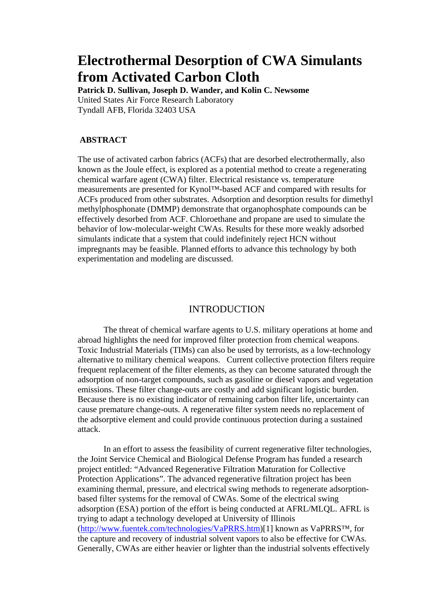## **Electrothermal Desorption of CWA Simulants from Activated Carbon Cloth**

**Patrick D. Sullivan, Joseph D. Wander, and Kolin C. Newsome**  United States Air Force Research Laboratory Tyndall AFB, Florida 32403 USA

## **ABSTRACT**

The use of activated carbon fabrics (ACFs) that are desorbed electrothermally, also known as the Joule effect, is explored as a potential method to create a regenerating chemical warfare agent (CWA) filter. Electrical resistance vs. temperature measurements are presented for Kynol™-based ACF and compared with results for ACFs produced from other substrates. Adsorption and desorption results for dimethyl methylphosphonate (DMMP) demonstrate that organophosphate compounds can be effectively desorbed from ACF. Chloroethane and propane are used to simulate the behavior of low-molecular-weight CWAs. Results for these more weakly adsorbed simulants indicate that a system that could indefinitely reject HCN without impregnants may be feasible. Planned efforts to advance this technology by both experimentation and modeling are discussed.

## INTRODUCTION

The threat of chemical warfare agents to U.S. military operations at home and abroad highlights the need for improved filter protection from chemical weapons. Toxic Industrial Materials (TIMs) can also be used by terrorists, as a low-technology alternative to military chemical weapons. Current collective protection filters require frequent replacement of the filter elements, as they can become saturated through the adsorption of non-target compounds, such as gasoline or diesel vapors and vegetation emissions. These filter change-outs are costly and add significant logistic burden. Because there is no existing indicator of remaining carbon filter life, uncertainty can cause premature change-outs. A regenerative filter system needs no replacement of the adsorptive element and could provide continuous protection during a sustained attack.

In an effort to assess the feasibility of current regenerative filter technologies, the Joint Service Chemical and Biological Defense Program has funded a research project entitled: "Advanced Regenerative Filtration Maturation for Collective Protection Applications". The advanced regenerative filtration project has been examining thermal, pressure, and electrical swing methods to regenerate adsorptionbased filter systems for the removal of CWAs. Some of the electrical swing adsorption (ESA) portion of the effort is being conducted at AFRL/MLQL. AFRL is trying to adapt a technology developed at University of Illinois (http://www.fuentek.com/technologies/VaPRRS.htm)[1] known as VaPRRS™, for the capture and recovery of industrial solvent vapors to also be effective for CWAs. Generally, CWAs are either heavier or lighter than the industrial solvents effectively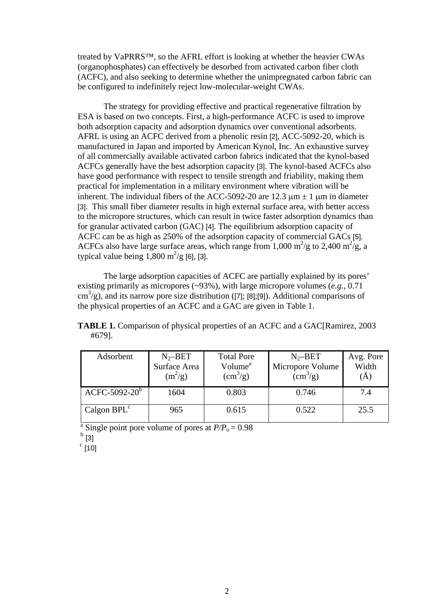treated by VaPRRS™, so the AFRL effort is looking at whether the heavier CWAs (organophosphates) can effectively be desorbed from activated carbon fiber cloth (ACFC), and also seeking to determine whether the unimpregnated carbon fabric can be configured to indefinitely reject low-molecular-weight CWAs.

The strategy for providing effective and practical regenerative filtration by ESA is based on two concepts. First, a high-performance ACFC is used to improve both adsorption capacity and adsorption dynamics over conventional adsorbents. AFRL is using an ACFC derived from a phenolic resin [2], ACC-5092-20, which is manufactured in Japan and imported by American Kynol, Inc. An exhaustive survey of all commercially available activated carbon fabrics indicated that the kynol-based ACFCs generally have the best adsorption capacity [3]. The kynol-based ACFCs also have good performance with respect to tensile strength and friability, making them practical for implementation in a military environment where vibration will be inherent. The individual fibers of the ACC-5092-20 are 12.3  $\mu$ m  $\pm$  1  $\mu$ m in diameter [3]. This small fiber diameter results in high external surface area, with better access to the micropore structures, which can result in twice faster adsorption dynamics than for granular activated carbon (GAC) [4]. The equilibrium adsorption capacity of ACFC can be as high as 250% of the adsorption capacity of commercial GACs [5]. ACFCs also have large surface areas, which range from 1,000 m<sup>2</sup>/g to 2,400 m<sup>2</sup>/g, a typical value being  $1,800 \text{ m}^2/\text{g}$  [6], [3].

The large adsorption capacities of ACFC are partially explained by its pores' existing primarily as micropores (~93%), with large micropore volumes (*e.g.*, 0.71  $\text{cm}^3/\text{g}$ ), and its narrow pore size distribution ([7]; [8];[9]). Additional comparisons of the physical properties of an ACFC and a GAC are given in Table 1.

**TABLE 1.** Comparison of physical properties of an ACFC and a GAC[Ramirez, 2003 #679].

| Adsorbent       | $N_2-BET$    | <b>Total Pore</b>      | $N_2-BET$              | Avg. Pore |
|-----------------|--------------|------------------------|------------------------|-----------|
|                 | Surface Area | Volume <sup>a</sup>    | Micropore Volume       | Width     |
|                 | $(m^2/g)$    | $\text{cm}^3\text{/g}$ | $\text{cm}^3\text{/g}$ | (A)       |
|                 |              |                        |                        |           |
| $ACFC-5092-20b$ | 1604         | 0.803                  | 0.746                  | 7.4       |
|                 |              |                        |                        |           |
| Calgon $BPLc$   | 965          | 0.615                  | 0.522                  | 25.5      |
|                 |              |                        |                        |           |

<sup>a</sup> Single point pore volume of pores at  $P/P<sub>o</sub> = 0.98$ 

 $<sup>b</sup>$  [3]</sup>

 $\degree$  [10]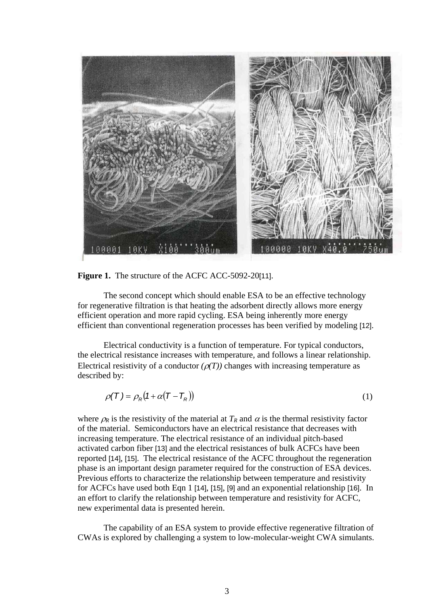

**Figure 1.** The structure of the ACFC ACC-5092-20[11].

The second concept which should enable ESA to be an effective technology for regenerative filtration is that heating the adsorbent directly allows more energy efficient operation and more rapid cycling. ESA being inherently more energy efficient than conventional regeneration processes has been verified by modeling [12].

Electrical conductivity is a function of temperature. For typical conductors, the electrical resistance increases with temperature, and follows a linear relationship. Electrical resistivity of a conductor  $(\rho(T))$  changes with increasing temperature as described by:

$$
\rho(T) = \rho_R (1 + \alpha (T - T_R)) \tag{1}
$$

where  $\rho_R$  is the resistivity of the material at  $T_R$  and  $\alpha$  is the thermal resistivity factor of the material. Semiconductors have an electrical resistance that decreases with increasing temperature. The electrical resistance of an individual pitch-based activated carbon fiber [13] and the electrical resistances of bulk ACFCs have been reported [14], [15]. The electrical resistance of the ACFC throughout the regeneration phase is an important design parameter required for the construction of ESA devices. Previous efforts to characterize the relationship between temperature and resistivity for ACFCs have used both Eqn 1 [14], [15], [9] and an exponential relationship [16]. In an effort to clarify the relationship between temperature and resistivity for ACFC, new experimental data is presented herein.

The capability of an ESA system to provide effective regenerative filtration of CWAs is explored by challenging a system to low-molecular-weight CWA simulants.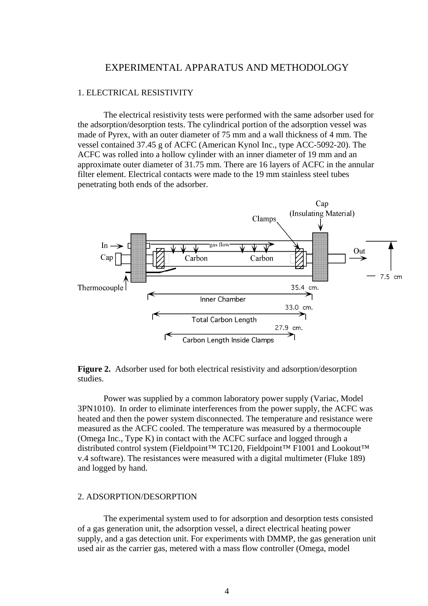## EXPERIMENTAL APPARATUS AND METHODOLOGY

#### 1. ELECTRICAL RESISTIVITY

The electrical resistivity tests were performed with the same adsorber used for the adsorption/desorption tests. The cylindrical portion of the adsorption vessel was made of Pyrex, with an outer diameter of 75 mm and a wall thickness of 4 mm. The vessel contained 37.45 g of ACFC (American Kynol Inc., type ACC-5092-20). The ACFC was rolled into a hollow cylinder with an inner diameter of 19 mm and an approximate outer diameter of 31.75 mm. There are 16 layers of ACFC in the annular filter element. Electrical contacts were made to the 19 mm stainless steel tubes penetrating both ends of the adsorber.



**Figure 2.** Adsorber used for both electrical resistivity and adsorption/desorption studies.

Power was supplied by a common laboratory power supply (Variac, Model 3PN1010). In order to eliminate interferences from the power supply, the ACFC was heated and then the power system disconnected. The temperature and resistance were measured as the ACFC cooled. The temperature was measured by a thermocouple (Omega Inc., Type K) in contact with the ACFC surface and logged through a distributed control system (Fieldpoint™ TC120, Fieldpoint™ F1001 and Lookout™ v.4 software). The resistances were measured with a digital multimeter (Fluke 189) and logged by hand.

#### 2. ADSORPTION/DESORPTION

The experimental system used to for adsorption and desorption tests consisted of a gas generation unit, the adsorption vessel, a direct electrical heating power supply, and a gas detection unit. For experiments with DMMP, the gas generation unit used air as the carrier gas, metered with a mass flow controller (Omega, model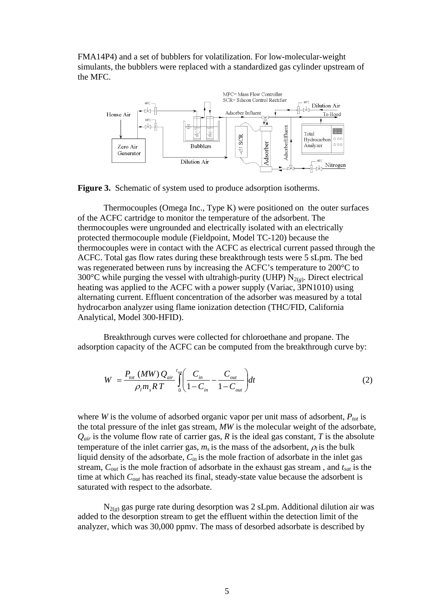FMA14P4) and a set of bubblers for volatilization. For low-molecular-weight simulants, the bubblers were replaced with a standardized gas cylinder upstream of the MFC.



**Figure 3.** Schematic of system used to produce adsorption isotherms.

Thermocouples (Omega Inc., Type K) were positioned on the outer surfaces of the ACFC cartridge to monitor the temperature of the adsorbent. The thermocouples were ungrounded and electrically isolated with an electrically protected thermocouple module (Fieldpoint, Model TC-120) because the thermocouples were in contact with the ACFC as electrical current passed through the ACFC. Total gas flow rates during these breakthrough tests were 5 sLpm. The bed was regenerated between runs by increasing the ACFC's temperature to 200°C to 300 $\degree$ C while purging the vessel with ultrahigh-purity (UHP) N<sub>2(g)</sub>. Direct electrical heating was applied to the ACFC with a power supply (Variac, 3PN1010) using alternating current. Effluent concentration of the adsorber was measured by a total hydrocarbon analyzer using flame ionization detection (THC/FID, California Analytical, Model 300-HFID).

Breakthrough curves were collected for chloroethane and propane. The adsorption capacity of the ACFC can be computed from the breakthrough curve by:

$$
W = \frac{P_{tot} (MW) Q_{air}}{\rho_l m_s RT} \int_{0}^{t_{sat}} \left( \frac{C_{in}}{1 - C_{in}} - \frac{C_{out}}{1 - C_{out}} \right) dt
$$
 (2)

where *W* is the volume of adsorbed organic vapor per unit mass of adsorbent,  $P_{tot}$  is the total pressure of the inlet gas stream, *MW* is the molecular weight of the adsorbate,  $Q_{air}$  is the volume flow rate of carrier gas,  $R$  is the ideal gas constant,  $T$  is the absolute temperature of the inlet carrier gas,  $m<sub>s</sub>$  is the mass of the adsorbent,  $\rho<sub>l</sub>$  is the bulk liquid density of the adsorbate, *Cin* is the mole fraction of adsorbate in the inlet gas stream, *Cout* is the mole fraction of adsorbate in the exhaust gas stream , and *tsat* is the time at which  $C_{out}$  has reached its final, steady-state value because the adsorbent is saturated with respect to the adsorbate.

 $N_{2(g)}$  gas purge rate during desorption was 2 sLpm. Additional dilution air was added to the desorption stream to get the effluent within the detection limit of the analyzer, which was 30,000 ppmv. The mass of desorbed adsorbate is described by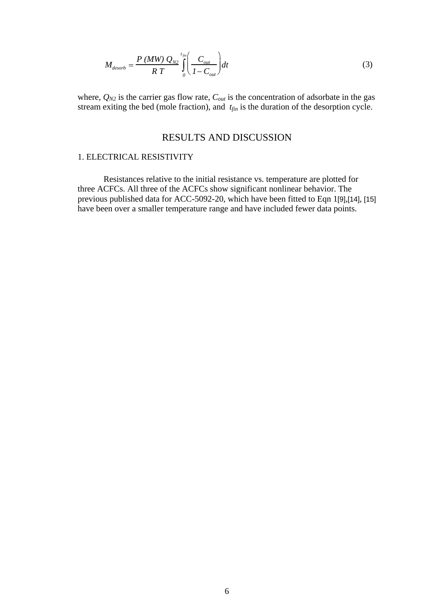$$
M_{desorb} = \frac{P\left(MW\right)Q_{N2}}{RT} \int_{0}^{t_{fin}} \left(\frac{C_{out}}{1 - C_{out}}\right) dt
$$
 (3)

where,  $Q_{N2}$  is the carrier gas flow rate,  $C_{out}$  is the concentration of adsorbate in the gas stream exiting the bed (mole fraction), and  $t_{fin}$  is the duration of the desorption cycle.

## RESULTS AND DISCUSSION

## 1. ELECTRICAL RESISTIVITY

Resistances relative to the initial resistance vs. temperature are plotted for three ACFCs. All three of the ACFCs show significant nonlinear behavior. The previous published data for ACC-5092-20, which have been fitted to Eqn 1[9],[14], [15] have been over a smaller temperature range and have included fewer data points.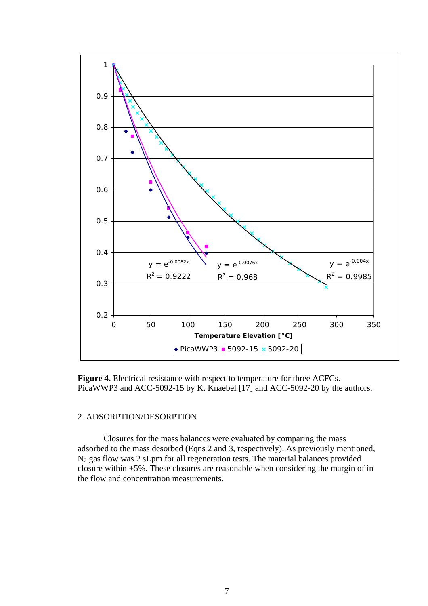

**Figure 4.** Electrical resistance with respect to temperature for three ACFCs. PicaWWP3 and ACC-5092-15 by K. Knaebel [17] and ACC-5092-20 by the authors.

#### 2. ADSORPTION/DESORPTION

Closures for the mass balances were evaluated by comparing the mass adsorbed to the mass desorbed (Eqns 2 and 3, respectively). As previously mentioned, N2 gas flow was 2 sLpm for all regeneration tests. The material balances provided closure within +5%. These closures are reasonable when considering the margin of in the flow and concentration measurements.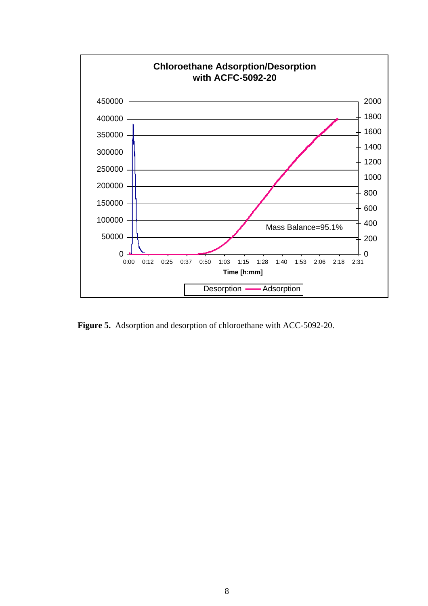

**Figure 5.** Adsorption and desorption of chloroethane with ACC-5092-20.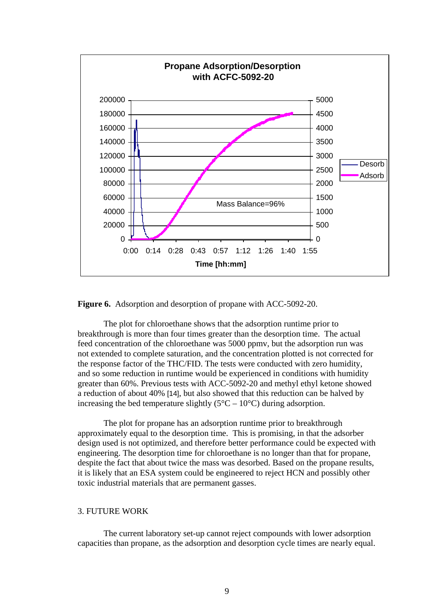

**Figure 6.** Adsorption and desorption of propane with ACC-5092-20.

The plot for chloroethane shows that the adsorption runtime prior to breakthrough is more than four times greater than the desorption time. The actual feed concentration of the chloroethane was 5000 ppmv, but the adsorption run was not extended to complete saturation, and the concentration plotted is not corrected for the response factor of the THC/FID. The tests were conducted with zero humidity, and so some reduction in runtime would be experienced in conditions with humidity greater than 60%. Previous tests with ACC-5092-20 and methyl ethyl ketone showed a reduction of about 40% [14], but also showed that this reduction can be halved by increasing the bed temperature slightly  $(5^{\circ}C - 10^{\circ}C)$  during adsorption.

The plot for propane has an adsorption runtime prior to breakthrough approximately equal to the desorption time. This is promising, in that the adsorber design used is not optimized, and therefore better performance could be expected with engineering. The desorption time for chloroethane is no longer than that for propane, despite the fact that about twice the mass was desorbed. Based on the propane results, it is likely that an ESA system could be engineered to reject HCN and possibly other toxic industrial materials that are permanent gasses.

#### 3. FUTURE WORK

The current laboratory set-up cannot reject compounds with lower adsorption capacities than propane, as the adsorption and desorption cycle times are nearly equal.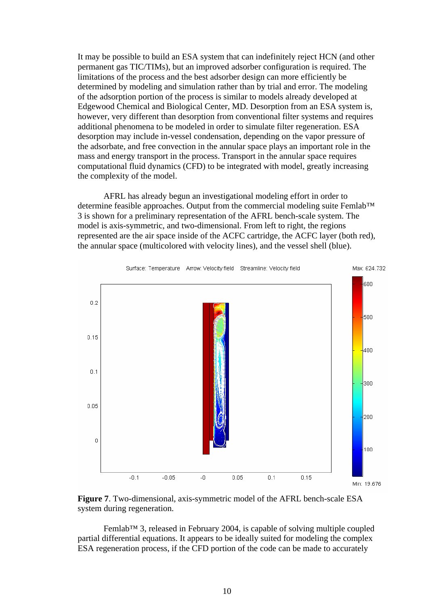It may be possible to build an ESA system that can indefinitely reject HCN (and other permanent gas TIC/TIMs), but an improved adsorber configuration is required. The limitations of the process and the best adsorber design can more efficiently be determined by modeling and simulation rather than by trial and error. The modeling of the adsorption portion of the process is similar to models already developed at Edgewood Chemical and Biological Center, MD. Desorption from an ESA system is, however, very different than desorption from conventional filter systems and requires additional phenomena to be modeled in order to simulate filter regeneration. ESA desorption may include in-vessel condensation, depending on the vapor pressure of the adsorbate, and free convection in the annular space plays an important role in the mass and energy transport in the process. Transport in the annular space requires computational fluid dynamics (CFD) to be integrated with model, greatly increasing the complexity of the model.

AFRL has already begun an investigational modeling effort in order to determine feasible approaches. Output from the commercial modeling suite Femlab™ 3 is shown for a preliminary representation of the AFRL bench-scale system. The model is axis-symmetric, and two-dimensional. From left to right, the regions represented are the air space inside of the ACFC cartridge, the ACFC layer (both red), the annular space (multicolored with velocity lines), and the vessel shell (blue).



**Figure 7**. Two-dimensional, axis-symmetric model of the AFRL bench-scale ESA system during regeneration.

Femlab™ 3, released in February 2004, is capable of solving multiple coupled partial differential equations. It appears to be ideally suited for modeling the complex ESA regeneration process, if the CFD portion of the code can be made to accurately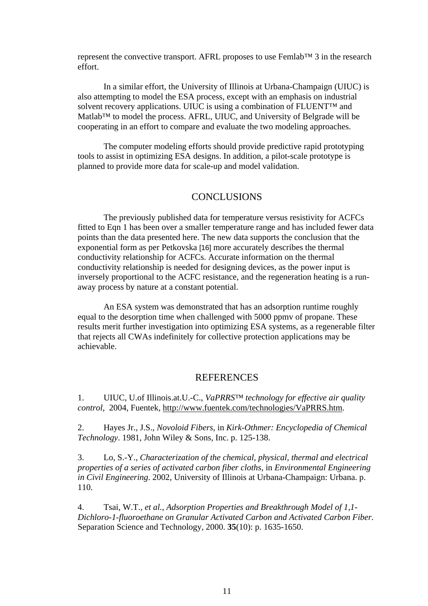represent the convective transport. AFRL proposes to use Femlab™ 3 in the research effort.

In a similar effort, the University of Illinois at Urbana-Champaign (UIUC) is also attempting to model the ESA process, except with an emphasis on industrial solvent recovery applications. UIUC is using a combination of FLUENT™ and Matlab™ to model the process. AFRL, UIUC, and University of Belgrade will be cooperating in an effort to compare and evaluate the two modeling approaches.

The computer modeling efforts should provide predictive rapid prototyping tools to assist in optimizing ESA designs. In addition, a pilot-scale prototype is planned to provide more data for scale-up and model validation.

## **CONCLUSIONS**

The previously published data for temperature versus resistivity for ACFCs fitted to Eqn 1 has been over a smaller temperature range and has included fewer data points than the data presented here. The new data supports the conclusion that the exponential form as per Petkovska [16] more accurately describes the thermal conductivity relationship for ACFCs. Accurate information on the thermal conductivity relationship is needed for designing devices, as the power input is inversely proportional to the ACFC resistance, and the regeneration heating is a runaway process by nature at a constant potential.

An ESA system was demonstrated that has an adsorption runtime roughly equal to the desorption time when challenged with 5000 ppmv of propane. These results merit further investigation into optimizing ESA systems, as a regenerable filter that rejects all CWAs indefinitely for collective protection applications may be achievable.

#### **REFERENCES**

1. UIUC, U.of Illinois.at.U.-C., *VaPRRS™ technology for effective air quality control*, 2004, Fuentek, http://www.fuentek.com/technologies/VaPRRS.htm.

2. Hayes Jr., J.S., *Novoloid Fibers*, in *Kirk-Othmer: Encyclopedia of Chemical Technology*. 1981, John Wiley & Sons, Inc. p. 125-138.

3. Lo, S.-Y., *Characterization of the chemical, physical, thermal and electrical properties of a series of activated carbon fiber cloths*, in *Environmental Engineering in Civil Engineering*. 2002, University of Illinois at Urbana-Champaign: Urbana. p. 110.

4. Tsai, W.T., *et al.*, *Adsorption Properties and Breakthrough Model of 1,1- Dichloro-1-fluoroethane on Granular Activated Carbon and Activated Carbon Fiber.* Separation Science and Technology, 2000. **35**(10): p. 1635-1650.